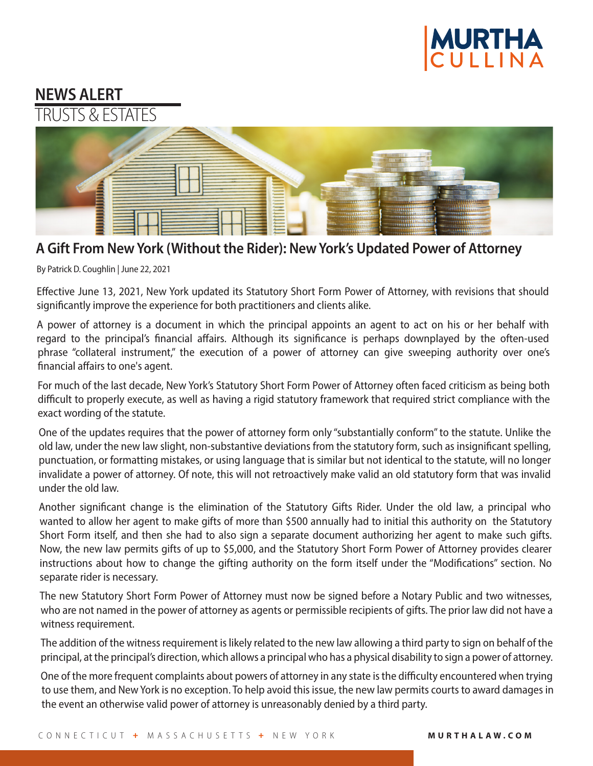

## **NEWS ALERT** TRUSTS & ESTATES



## **A Gift From New York (Without the Rider): New York's Updated Power of Attorney**

By Patrick D. Coughlin | June 22, 2021

Effective June 13, 2021, New York updated its Statutory Short Form Power of Attorney, with revisions that should significantly improve the experience for both practitioners and clients alike.

A power of attorney is a document in which the principal appoints an agent to act on his or her behalf with regard to the principal's financial affairs. Although its significance is perhaps downplayed by the often-used phrase "collateral instrument," the execution of a power of attorney can give sweeping authority over one's financial affairs to one's agent.

For much of the last decade, New York's Statutory Short Form Power of Attorney often faced criticism as being both difficult to properly execute, as well as having a rigid statutory framework that required strict compliance with the exact wording of the statute.

One of the updates requires that the power of attorney form only "substantially conform" to the statute. Unlike the old law, under the new law slight, non-substantive deviations from the statutory form, such as insignificant spelling, punctuation, or formatting mistakes, or using language that is similar but not identical to the statute, will no longer invalidate a power of attorney. Of note, this will not retroactively make valid an old statutory form that was invalid under the old law.

Another significant change is the elimination of the Statutory Gifts Rider. Under the old law, a principal who wanted to allow her agent to make gifts of more than \$500 annually had to initial this authority on the Statutory Short Form itself, and then she had to also sign a separate document authorizing her agent to make such gifts. Now, the new law permits gifts of up to \$5,000, and the Statutory Short Form Power of Attorney provides clearer instructions about how to change the gifting authority on the form itself under the "Modifications" section. No separate rider is necessary.

The new Statutory Short Form Power of Attorney must now be signed before a Notary Public and two witnesses, who are not named in the power of attorney as agents or permissible recipients of gifts. The prior law did not have a witness requirement.

The addition of the witness requirement is likely related to the new law allowing a third party to sign on behalf of the principal, at the principal's direction, which allows a principal who has a physical disability to sign a power of attorney.

One of the more frequent complaints about powers of attorney in any state is the difficulty encountered when trying to use them, and New York is no exception. To help avoid this issue, the new law permits courts to award damages in the event an otherwise valid power of attorney is unreasonably denied by a third party.